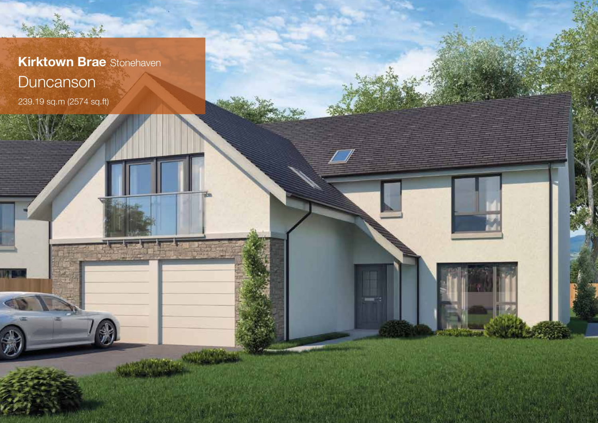

239.19 sq.m (2574 sq.ft)